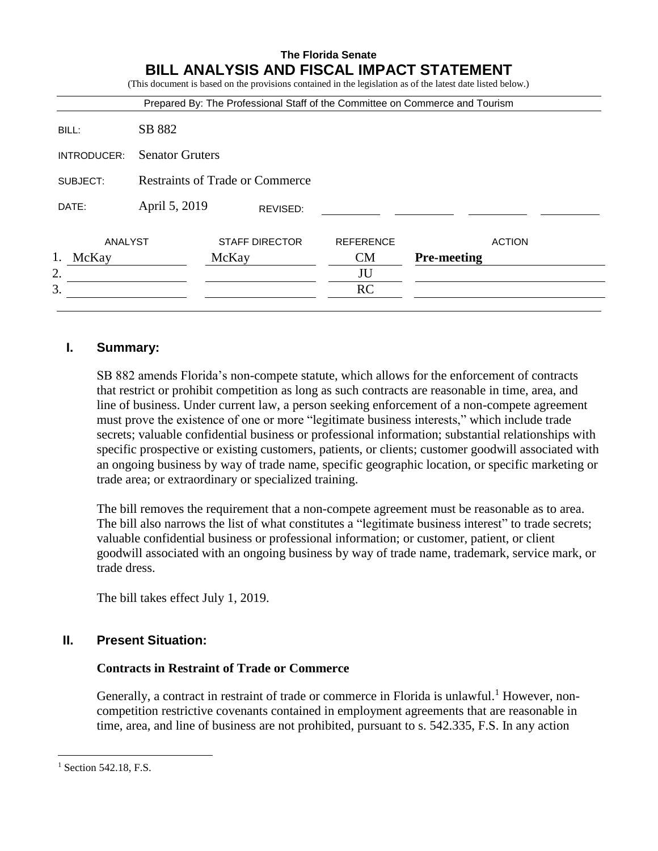|             |                        | Prepared By: The Professional Staff of the Committee on Commerce and Tourism |                  |                    |
|-------------|------------------------|------------------------------------------------------------------------------|------------------|--------------------|
| BILL:       | SB 882                 |                                                                              |                  |                    |
| INTRODUCER: | <b>Senator Gruters</b> |                                                                              |                  |                    |
| SUBJECT:    |                        | Restraints of Trade or Commerce                                              |                  |                    |
| DATE:       | April 5, 2019          | REVISED:                                                                     |                  |                    |
| ANALYST     |                        | <b>STAFF DIRECTOR</b>                                                        | <b>REFERENCE</b> | <b>ACTION</b>      |
| 1.<br>McKay |                        | McKay                                                                        | CM               | <b>Pre-meeting</b> |
| 2.          |                        |                                                                              | JU               |                    |
| 3.          |                        |                                                                              | <b>RC</b>        |                    |

# **I. Summary:**

SB 882 amends Florida's non-compete statute, which allows for the enforcement of contracts that restrict or prohibit competition as long as such contracts are reasonable in time, area, and line of business. Under current law, a person seeking enforcement of a non-compete agreement must prove the existence of one or more "legitimate business interests," which include trade secrets; valuable confidential business or professional information; substantial relationships with specific prospective or existing customers, patients, or clients; customer goodwill associated with an ongoing business by way of trade name, specific geographic location, or specific marketing or trade area; or extraordinary or specialized training.

The bill removes the requirement that a non-compete agreement must be reasonable as to area. The bill also narrows the list of what constitutes a "legitimate business interest" to trade secrets; valuable confidential business or professional information; or customer, patient, or client goodwill associated with an ongoing business by way of trade name, trademark, service mark, or trade dress.

The bill takes effect July 1, 2019.

### **II. Present Situation:**

#### **Contracts in Restraint of Trade or Commerce**

Generally, a contract in restraint of trade or commerce in Florida is unlawful.<sup>1</sup> However, noncompetition restrictive covenants contained in employment agreements that are reasonable in time, area, and line of business are not prohibited, pursuant to s. 542.335, F.S. In any action

 $\overline{a}$ 

<sup>&</sup>lt;sup>1</sup> Section 542.18, F.S.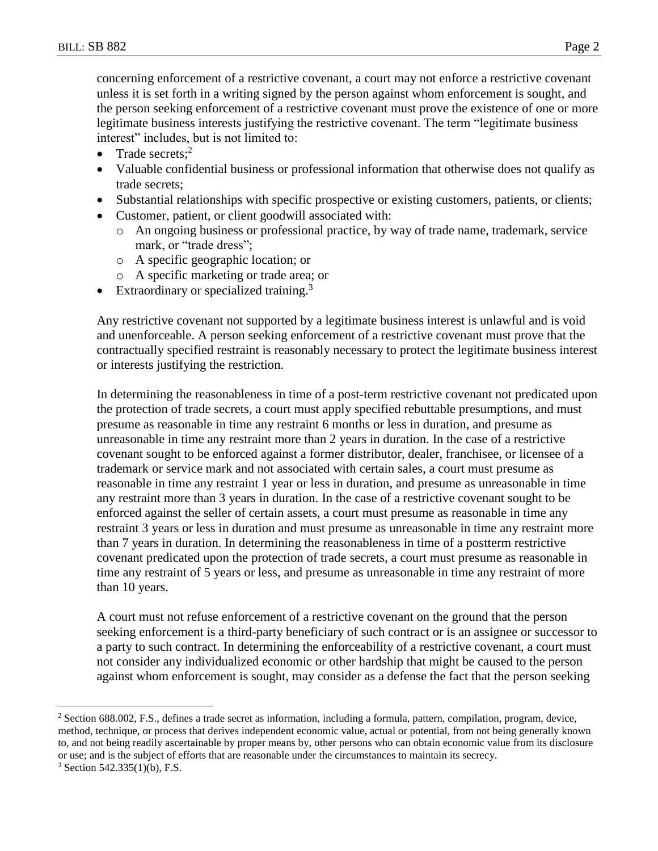concerning enforcement of a restrictive covenant, a court may not enforce a restrictive covenant unless it is set forth in a writing signed by the person against whom enforcement is sought, and the person seeking enforcement of a restrictive covenant must prove the existence of one or more legitimate business interests justifying the restrictive covenant. The term "legitimate business interest" includes, but is not limited to:

- Trade secrets; $2$
- Valuable confidential business or professional information that otherwise does not qualify as trade secrets;
- Substantial relationships with specific prospective or existing customers, patients, or clients;
- Customer, patient, or client goodwill associated with:
	- o An ongoing business or professional practice, by way of trade name, trademark, service mark, or "trade dress";
	- o A specific geographic location; or
	- o A specific marketing or trade area; or
- Extraordinary or specialized training.<sup>3</sup>

Any restrictive covenant not supported by a legitimate business interest is unlawful and is void and unenforceable. A person seeking enforcement of a restrictive covenant must prove that the contractually specified restraint is reasonably necessary to protect the legitimate business interest or interests justifying the restriction.

In determining the reasonableness in time of a post-term restrictive covenant not predicated upon the protection of trade secrets, a court must apply specified rebuttable presumptions, and must presume as reasonable in time any restraint 6 months or less in duration, and presume as unreasonable in time any restraint more than 2 years in duration. In the case of a restrictive covenant sought to be enforced against a former distributor, dealer, franchisee, or licensee of a trademark or service mark and not associated with certain sales, a court must presume as reasonable in time any restraint 1 year or less in duration, and presume as unreasonable in time any restraint more than 3 years in duration. In the case of a restrictive covenant sought to be enforced against the seller of certain assets, a court must presume as reasonable in time any restraint 3 years or less in duration and must presume as unreasonable in time any restraint more than 7 years in duration. In determining the reasonableness in time of a postterm restrictive covenant predicated upon the protection of trade secrets, a court must presume as reasonable in time any restraint of 5 years or less, and presume as unreasonable in time any restraint of more than 10 years.

A court must not refuse enforcement of a restrictive covenant on the ground that the person seeking enforcement is a third-party beneficiary of such contract or is an assignee or successor to a party to such contract. In determining the enforceability of a restrictive covenant, a court must not consider any individualized economic or other hardship that might be caused to the person against whom enforcement is sought, may consider as a defense the fact that the person seeking

 $\overline{a}$ 

<sup>&</sup>lt;sup>2</sup> Section 688.002, F.S., defines a trade secret as information, including a formula, pattern, compilation, program, device, method, technique, or process that derives independent economic value, actual or potential, from not being generally known to, and not being readily ascertainable by proper means by, other persons who can obtain economic value from its disclosure or use; and is the subject of efforts that are reasonable under the circumstances to maintain its secrecy.

 $3$  Section 542.335(1)(b), F.S.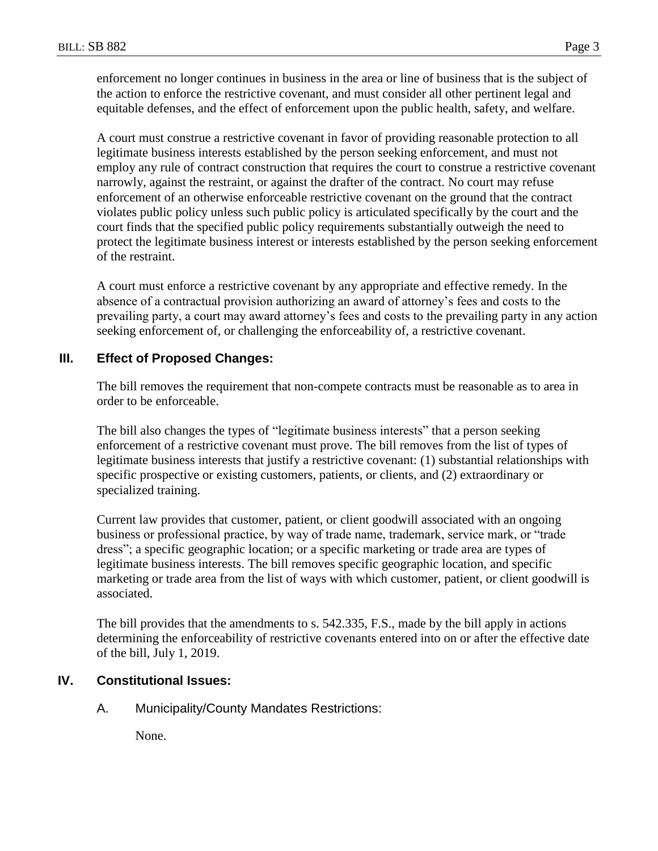enforcement no longer continues in business in the area or line of business that is the subject of the action to enforce the restrictive covenant, and must consider all other pertinent legal and equitable defenses, and the effect of enforcement upon the public health, safety, and welfare.

A court must construe a restrictive covenant in favor of providing reasonable protection to all legitimate business interests established by the person seeking enforcement, and must not employ any rule of contract construction that requires the court to construe a restrictive covenant narrowly, against the restraint, or against the drafter of the contract. No court may refuse enforcement of an otherwise enforceable restrictive covenant on the ground that the contract violates public policy unless such public policy is articulated specifically by the court and the court finds that the specified public policy requirements substantially outweigh the need to protect the legitimate business interest or interests established by the person seeking enforcement of the restraint.

A court must enforce a restrictive covenant by any appropriate and effective remedy. In the absence of a contractual provision authorizing an award of attorney's fees and costs to the prevailing party, a court may award attorney's fees and costs to the prevailing party in any action seeking enforcement of, or challenging the enforceability of, a restrictive covenant.

#### **III. Effect of Proposed Changes:**

The bill removes the requirement that non-compete contracts must be reasonable as to area in order to be enforceable.

The bill also changes the types of "legitimate business interests" that a person seeking enforcement of a restrictive covenant must prove. The bill removes from the list of types of legitimate business interests that justify a restrictive covenant: (1) substantial relationships with specific prospective or existing customers, patients, or clients, and (2) extraordinary or specialized training.

Current law provides that customer, patient, or client goodwill associated with an ongoing business or professional practice, by way of trade name, trademark, service mark, or "trade dress"; a specific geographic location; or a specific marketing or trade area are types of legitimate business interests. The bill removes specific geographic location, and specific marketing or trade area from the list of ways with which customer, patient, or client goodwill is associated.

The bill provides that the amendments to s. 542.335, F.S., made by the bill apply in actions determining the enforceability of restrictive covenants entered into on or after the effective date of the bill, July 1, 2019.

## **IV. Constitutional Issues:**

A. Municipality/County Mandates Restrictions:

None.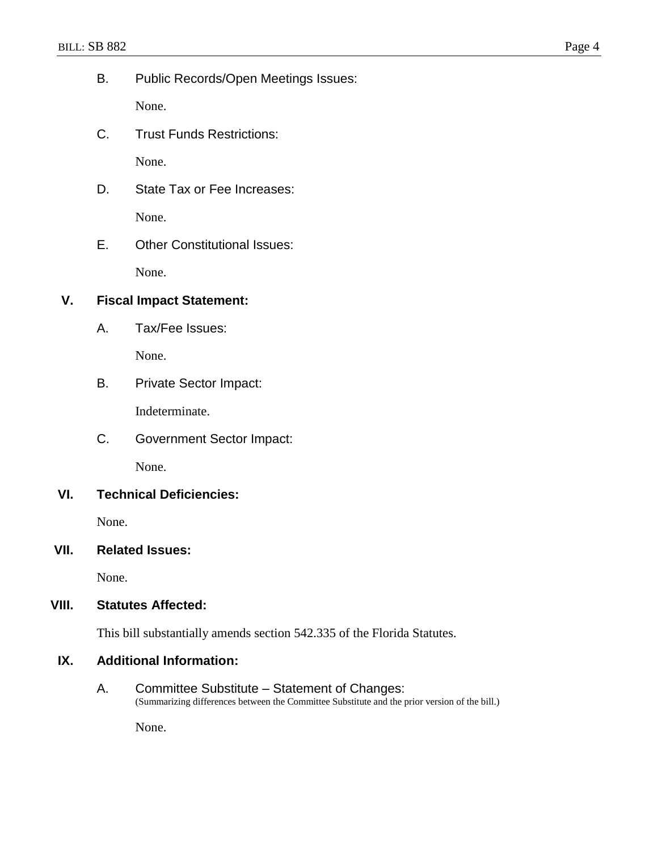B. Public Records/Open Meetings Issues:

None.

C. Trust Funds Restrictions:

None.

- D. State Tax or Fee Increases: None.
- E. Other Constitutional Issues:

None.

# **V. Fiscal Impact Statement:**

A. Tax/Fee Issues:

None.

B. Private Sector Impact:

Indeterminate.

C. Government Sector Impact:

None.

### **VI. Technical Deficiencies:**

None.

### **VII. Related Issues:**

None.

### **VIII. Statutes Affected:**

This bill substantially amends section 542.335 of the Florida Statutes.

### **IX. Additional Information:**

A. Committee Substitute – Statement of Changes: (Summarizing differences between the Committee Substitute and the prior version of the bill.)

None.